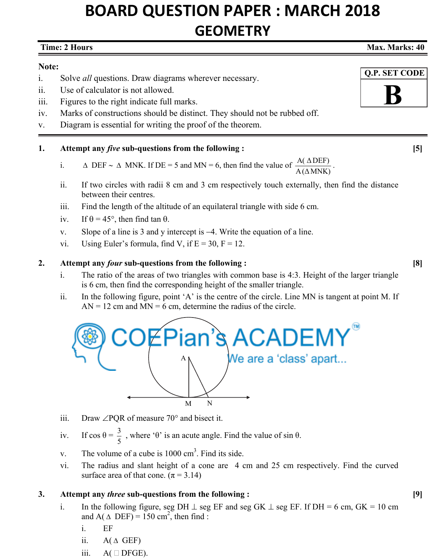# **BOARD QUESTION PAPER : MARCH 2018 GEOMETRY**

#### **Time: 2 Hours Max. Marks: 40 and Max. Marks: 40 and Max. Marks: 40 and Max. Marks: 40 and Max. Marks: 40 and Max. Marks: 40 and Max. Marks: 40 and Max. Marks: 40 and Max. Marks: 40 and Max. Marks: 40 and Max. Marks: 40 an**

## **Note:**

- i. Solve *all* questions. Draw diagrams wherever necessary.
- ii. Use of calculator is not allowed.
- iii. Figures to the right indicate full marks.
- iv. Marks of constructions should be distinct. They should not be rubbed off.
- v. Diagram is essential for writing the proof of the theorem.

# **1. Attempt any** *five* **sub-questions from the following : [5]**

- i.  $\Delta$  DEF  $\sim \Delta$  MNK. If DE = 5 and MN = 6, then find the value of  $\frac{A(\Delta DEF)}{A(\Delta MNK)}$ .
- ii. If two circles with radii 8 cm and 3 cm respectively touch externally, then find the distance between their centres.
- iii. Find the length of the altitude of an equilateral triangle with side 6 cm.
- iv. If  $\theta = 45^{\circ}$ , then find tan  $\theta$ .
- v. Slope of a line is 3 and y intercept is  $-4$ . Write the equation of a line.
- vi. Using Euler's formula, find V, if  $E = 30$ ,  $F = 12$ .

## **2. Attempt any** *four* **sub-questions from the following : [8]**

- i. The ratio of the areas of two triangles with common base is 4:3. Height of the larger triangle is 6 cm, then find the corresponding height of the smaller triangle.
- ii. In the following figure, point 'A' is the centre of the circle. Line MN is tangent at point M. If  $AN = 12$  cm and  $MN = 6$  cm, determine the radius of the circle.



- iii. Draw  $\angle$ PQR of measure 70 $\degree$  and bisect it.
- iv. If  $\cos \theta = \frac{3}{5}$ , where 'θ' is an acute angle. Find the value of sin  $\theta$ .
- v. The volume of a cube is  $1000 \text{ cm}^3$ . Find its side.
	- vi. The radius and slant height of a cone are 4 cm and 25 cm respectively. Find the curved surface area of that cone.  $(\pi = 3.14)$

## **3. Attempt any** *three* **sub-questions from the following : [9]**

- i. In the following figure, seg DH  $\perp$  seg EF and seg GK  $\perp$  seg EF. If DH = 6 cm, GK = 10 cm and A( $\triangle$  DEF) = 150 cm<sup>2</sup>, then find :
	- i. EF
	- ii.  $A(\triangle GEF)$
	- iii.  $A \cap DFGE$ ).



 **Q.P. SET CODE**

**B**